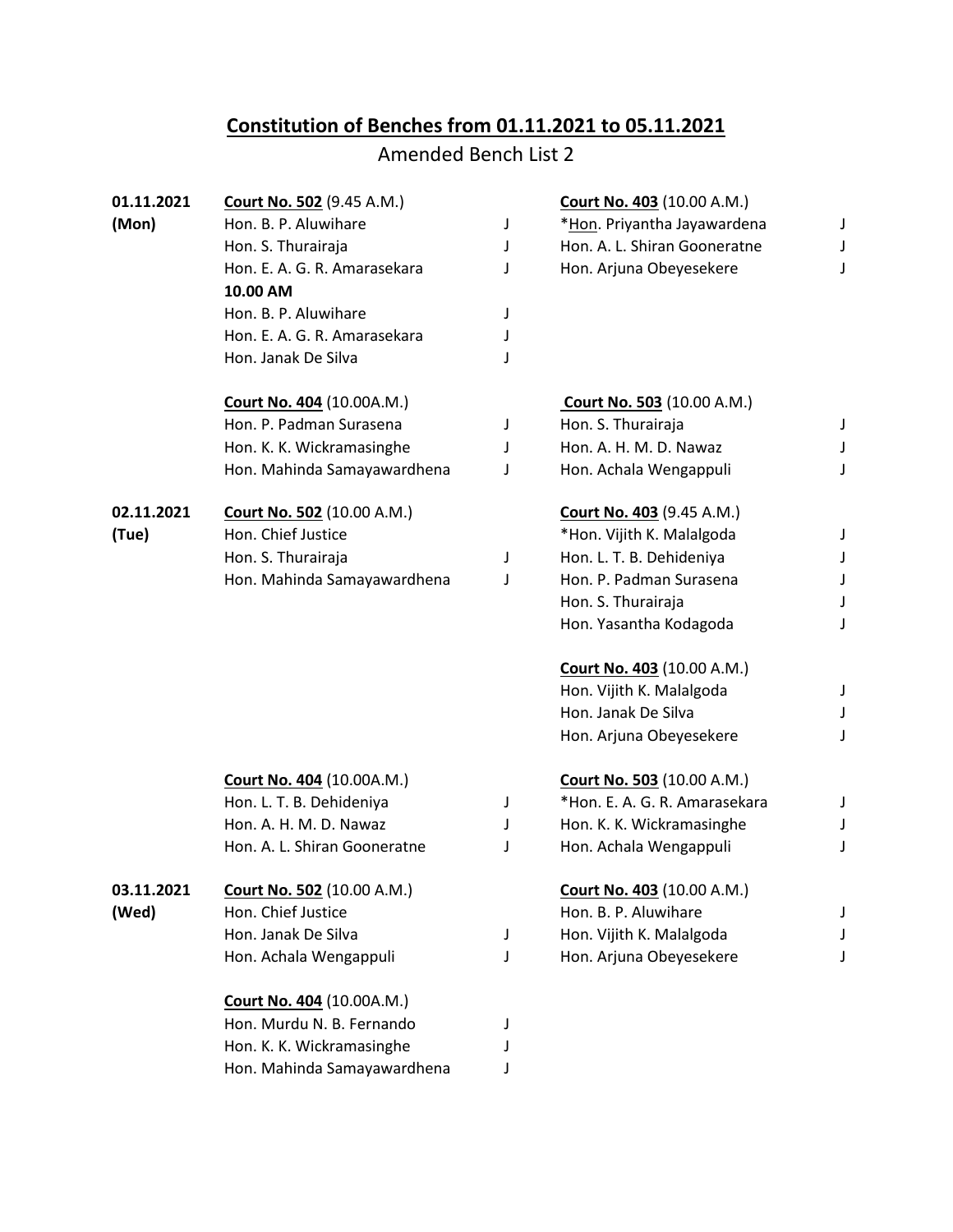## **Constitution of Benches from 01.11.2021 to 05.11.2021**

## Amended Bench List 2

| 01.11.2021 | <b>Court No. 502 (9.45 A.M.)</b>  |   | <b>Court No. 403 (10.00 A.M.)</b> |   |
|------------|-----------------------------------|---|-----------------------------------|---|
| (Mon)      | Hon. B. P. Aluwihare              | J | *Hon. Priyantha Jayawardena       | J |
|            | Hon. S. Thurairaja                | J | Hon. A. L. Shiran Gooneratne      | J |
|            | Hon. E. A. G. R. Amarasekara      | J | Hon. Arjuna Obeyesekere           |   |
|            | 10.00 AM                          |   |                                   |   |
|            | Hon. B. P. Aluwihare              | J |                                   |   |
|            | Hon. E. A. G. R. Amarasekara      | J |                                   |   |
|            | Hon. Janak De Silva               | J |                                   |   |
|            | <b>Court No. 404 (10.00A.M.)</b>  |   | <b>Court No. 503</b> (10.00 A.M.) |   |
|            | Hon. P. Padman Surasena           | J | Hon. S. Thurairaja                | J |
|            | Hon. K. K. Wickramasinghe         | J | Hon. A. H. M. D. Nawaz            |   |
|            | Hon. Mahinda Samayawardhena       | J | Hon. Achala Wengappuli            | J |
| 02.11.2021 | <b>Court No. 502 (10.00 A.M.)</b> |   | <b>Court No. 403 (9.45 A.M.)</b>  |   |
| (Tue)      | Hon. Chief Justice                |   | *Hon. Vijith K. Malalgoda         |   |
|            | Hon. S. Thurairaja                | J | Hon. L. T. B. Dehideniya          |   |
|            | Hon. Mahinda Samayawardhena       | J | Hon. P. Padman Surasena           |   |
|            |                                   |   | Hon. S. Thurairaja                |   |
|            |                                   |   | Hon. Yasantha Kodagoda            |   |
|            |                                   |   | <b>Court No. 403 (10.00 A.M.)</b> |   |
|            |                                   |   | Hon. Vijith K. Malalgoda          | J |
|            |                                   |   | Hon. Janak De Silva               | J |
|            |                                   |   | Hon. Arjuna Obeyesekere           |   |
|            | <b>Court No. 404 (10.00A.M.)</b>  |   | <b>Court No. 503 (10.00 A.M.)</b> |   |
|            | Hon. L. T. B. Dehideniya          | J | *Hon. E. A. G. R. Amarasekara     | J |
|            | Hon. A. H. M. D. Nawaz            | J | Hon. K. K. Wickramasinghe         |   |
|            | Hon. A. L. Shiran Gooneratne      | J | Hon. Achala Wengappuli            | J |
| 03.11.2021 | Court No. 502 (10.00 A.M.)        |   | Court No. 403 (10.00 A.M.)        |   |
| (Wed)      | Hon. Chief Justice                |   | Hon. B. P. Aluwihare              |   |
|            | Hon. Janak De Silva               | J | Hon. Vijith K. Malalgoda          |   |
|            | Hon. Achala Wengappuli            | J | Hon. Arjuna Obeyesekere           |   |
|            | <b>Court No. 404 (10.00A.M.)</b>  |   |                                   |   |
|            | Hon. Murdu N. B. Fernando         | J |                                   |   |
|            | Hon. K. K. Wickramasinghe         |   |                                   |   |
|            | Hon. Mahinda Samayawardhena       |   |                                   |   |